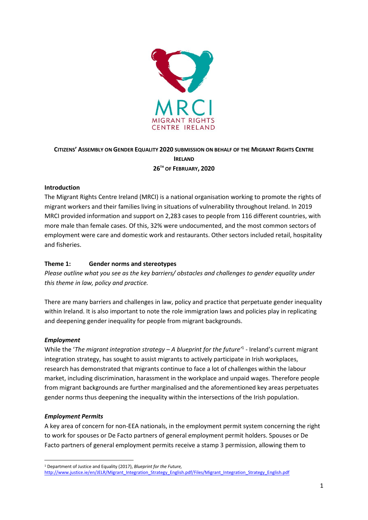

## **CITIZENS' ASSEMBLY ON GENDER EQUALITY 2020 SUBMISSION ON BEHALF OF THE MIGRANT RIGHTS CENTRE IRELAND 26TH OF FEBRUARY, 2020**

## **Introduction**

The Migrant Rights Centre Ireland (MRCI) is a national organisation working to promote the rights of migrant workers and their families living in situations of vulnerability throughout Ireland. In 2019 MRCI provided information and support on 2,283 cases to people from 116 different countries, with more male than female cases. Of this, 32% were undocumented, and the most common sectors of employment were care and domestic work and restaurants. Other sectors included retail, hospitality and fisheries.

## **Theme 1: Gender norms and stereotypes**

*Please outline what you see as the key barriers/ obstacles and challenges to gender equality under this theme in law, policy and practice.*

There are many barriers and challenges in law, policy and practice that perpetuate gender inequality within Ireland. It is also important to note the role immigration laws and policies play in replicating and deepening gender inequality for people from migrant backgrounds.

#### *Employment*

While the '*The migrant integration strategy – A blueprint for the future'*<sup>1</sup> - Ireland's current migrant integration strategy, has sought to assist migrants to actively participate in Irish workplaces, research has demonstrated that migrants continue to face a lot of challenges within the labour market, including discrimination, harassment in the workplace and unpaid wages. Therefore people from migrant backgrounds are further marginalised and the aforementioned key areas perpetuates gender norms thus deepening the inequality within the intersections of the Irish population.

#### *Employment Permits*

A key area of concern for non-EEA nationals, in the employment permit system concerning the right to work for spouses or De Facto partners of general employment permit holders. Spouses or De Facto partners of general employment permits receive a stamp 3 permission, allowing them to

<sup>1</sup> <sup>1</sup> Department of Justice and Equality (2017), *Blueprint for the Future,* 

[http://www.justice.ie/en/JELR/Migrant\\_Integration\\_Strategy\\_English.pdf/Files/Migrant\\_Integration\\_Strategy\\_English.pdf](http://www.justice.ie/en/JELR/Migrant_Integration_Strategy_English.pdf/Files/Migrant_Integration_Strategy_English.pdf)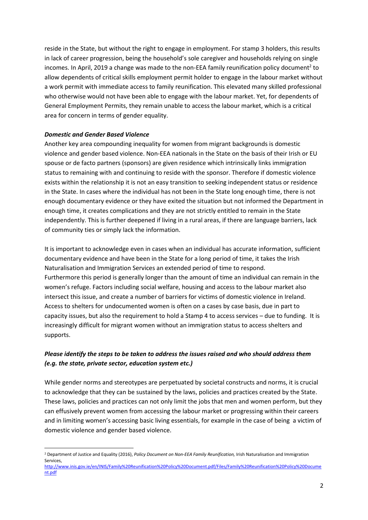reside in the State, but without the right to engage in employment. For stamp 3 holders, this results in lack of career progression, being the household's sole caregiver and households relying on single incomes. In April, 2019 a change was made to the non-EEA family reunification policy document<sup>2</sup> to allow dependents of critical skills employment permit holder to engage in the labour market without a work permit with immediate access to family reunification. This elevated many skilled professional who otherwise would not have been able to engage with the labour market. Yet, for dependents of General Employment Permits, they remain unable to access the labour market, which is a critical area for concern in terms of gender equality.

#### *Domestic and Gender Based Violence*

**.** 

Another key area compounding inequality for women from migrant backgrounds is domestic violence and gender based violence. Non-EEA nationals in the State on the basis of their Irish or EU spouse or de facto partners (sponsors) are given residence which intrinsically links immigration status to remaining with and continuing to reside with the sponsor. Therefore if domestic violence exists within the relationship it is not an easy transition to seeking independent status or residence in the State. In cases where the individual has not been in the State long enough time, there is not enough documentary evidence or they have exited the situation but not informed the Department in enough time, it creates complications and they are not strictly entitled to remain in the State independently. This is further deepened if living in a rural areas, if there are language barriers, lack of community ties or simply lack the information.

It is important to acknowledge even in cases when an individual has accurate information, sufficient documentary evidence and have been in the State for a long period of time, it takes the Irish Naturalisation and Immigration Services an extended period of time to respond. Furthermore this period is generally longer than the amount of time an individual can remain in the women's refuge. Factors including social welfare, housing and access to the labour market also intersect this issue, and create a number of barriers for victims of domestic violence in Ireland. Access to shelters for undocumented women is often on a cases by case basis, due in part to capacity issues, but also the requirement to hold a Stamp 4 to access services – due to funding. It is increasingly difficult for migrant women without an immigration status to access shelters and supports.

## *Please identify the steps to be taken to address the issues raised and who should address them (e.g. the state, private sector, education system etc.)*

While gender norms and stereotypes are perpetuated by societal constructs and norms, it is crucial to acknowledge that they can be sustained by the laws, policies and practices created by the State. These laws, policies and practices can not only limit the jobs that men and women perform, but they can effusively prevent women from accessing the labour market or progressing within their careers and in limiting women's accessing basic living essentials, for example in the case of being a victim of domestic violence and gender based violence.

<sup>2</sup> Department of Justice and Equality (2016), *Policy Document on Non-EEA Family Reunification,* Irish Naturalisation and Immigration Services,

[http://www.inis.gov.ie/en/INIS/Family%20Reunification%20Policy%20Document.pdf/Files/Family%20Reunification%20Policy%20Docume](http://www.inis.gov.ie/en/INIS/Family%20Reunification%20Policy%20Document.pdf/Files/Family%20Reunification%20Policy%20Document.pdf) [nt.pdf](http://www.inis.gov.ie/en/INIS/Family%20Reunification%20Policy%20Document.pdf/Files/Family%20Reunification%20Policy%20Document.pdf)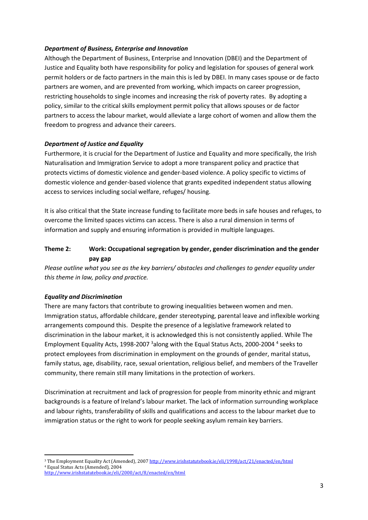#### *Department of Business, Enterprise and Innovation*

Although the Department of Business, Enterprise and Innovation (DBEI) and the Department of Justice and Equality both have responsibility for policy and legislation for spouses of general work permit holders or de facto partners in the main this is led by DBEI. In many cases spouse or de facto partners are women, and are prevented from working, which impacts on career progression, restricting households to single incomes and increasing the risk of poverty rates. By adopting a policy, similar to the critical skills employment permit policy that allows spouses or de factor partners to access the labour market, would alleviate a large cohort of women and allow them the freedom to progress and advance their careers.

## *Department of Justice and Equality*

Furthermore, it is crucial for the Department of Justice and Equality and more specifically, the Irish Naturalisation and Immigration Service to adopt a more transparent policy and practice that protects victims of domestic violence and gender-based violence. A policy specific to victims of domestic violence and gender-based violence that grants expedited independent status allowing access to services including social welfare, refuges/ housing.

It is also critical that the State increase funding to facilitate more beds in safe houses and refuges, to overcome the limited spaces victims can access. There is also a rural dimension in terms of information and supply and ensuring information is provided in multiple languages.

# **Theme 2: Work: Occupational segregation by gender, gender discrimination and the gender pay gap**

*Please outline what you see as the key barriers/ obstacles and challenges to gender equality under this theme in law, policy and practice.*

## *Equality and Discrimination*

1

There are many factors that contribute to growing inequalities between women and men. Immigration status, affordable childcare, gender stereotyping, parental leave and inflexible working arrangements compound this. Despite the presence of a legislative framework related to discrimination in the labour market, it is acknowledged this is not consistently applied. While The Employment Equality Acts, 1998-2007<sup>3</sup> along with the Equal Status Acts, 2000-2004<sup>4</sup> seeks to protect employees from discrimination in employment on the grounds of gender, marital status, family status, age, disability, race, sexual orientation, religious belief, and members of the Traveller community, there remain still many limitations in the protection of workers.

Discrimination at recruitment and lack of progression for people from minority ethnic and migrant backgrounds is a feature of Ireland's labour market. The lack of information surrounding workplace and labour rights, transferability of skills and qualifications and access to the labour market due to immigration status or the right to work for people seeking asylum remain key barriers.

<sup>&</sup>lt;sup>3</sup> The Employment Equality Act (Amended), 200[7 http://www.irishstatutebook.ie/eli/1998/act/21/enacted/en/html](http://www.irishstatutebook.ie/eli/1998/act/21/enacted/en/html) <sup>4</sup> Equal Status Acts (Amended), 2004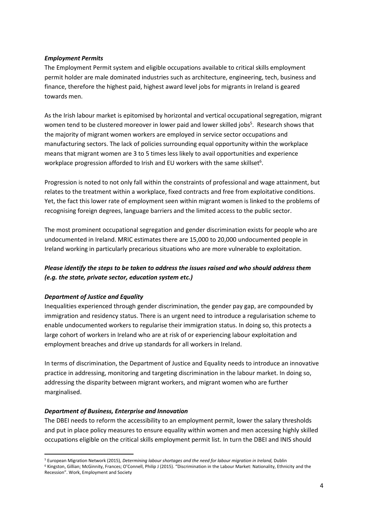#### *Employment Permits*

The Employment Permit system and eligible occupations available to critical skills employment permit holder are male dominated industries such as architecture, engineering, tech, business and finance, therefore the highest paid, highest award level jobs for migrants in Ireland is geared towards men.

As the Irish labour market is epitomised by horizontal and vertical occupational segregation, migrant women tend to be clustered moreover in lower paid and lower skilled jobs<sup>5</sup>. Research shows that the majority of migrant women workers are employed in service sector occupations and manufacturing sectors. The lack of policies surrounding equal opportunity within the workplace means that migrant women are 3 to 5 times less likely to avail opportunities and experience workplace progression afforded to Irish and EU workers with the same skillset<sup>6</sup>.

Progression is noted to not only fall within the constraints of professional and wage attainment, but relates to the treatment within a workplace, fixed contracts and free from exploitative conditions. Yet, the fact this lower rate of employment seen within migrant women is linked to the problems of recognising foreign degrees, language barriers and the limited access to the public sector.

The most prominent occupational segregation and gender discrimination exists for people who are undocumented in Ireland. MRIC estimates there are 15,000 to 20,000 undocumented people in Ireland working in particularly precarious situations who are more vulnerable to exploitation.

# *Please identify the steps to be taken to address the issues raised and who should address them (e.g. the state, private sector, education system etc.)*

## *Department of Justice and Equality*

Inequalities experienced through gender discrimination, the gender pay gap, are compounded by immigration and residency status. There is an urgent need to introduce a regularisation scheme to enable undocumented workers to regularise their immigration status. In doing so, this protects a large cohort of workers in Ireland who are at risk of or experiencing labour exploitation and employment breaches and drive up standards for all workers in Ireland.

In terms of discrimination, the Department of Justice and Equality needs to introduce an innovative practice in addressing, monitoring and targeting discrimination in the labour market. In doing so, addressing the disparity between migrant workers, and migrant women who are further marginalised.

## *Department of Business, Enterprise and Innovation*

The DBEI needs to reform the accessibility to an employment permit, lower the salary thresholds and put in place policy measures to ensure equality within women and men accessing highly skilled occupations eligible on the critical skills employment permit list. In turn the DBEI and INIS should

<sup>6</sup> Kingston, Gillian; McGinnity, Frances; O'Connell, Philip J (2015). "Discrimination in the Labour Market: Nationality, Ethnicity and the Recession". Work, Employment and Society

<sup>1</sup> <sup>5</sup> European Migration Network (2015), *Determining labour shortages and the need for labour migration in Ireland,* Dublin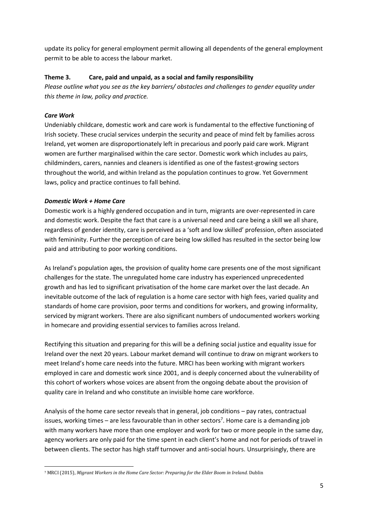update its policy for general employment permit allowing all dependents of the general employment permit to be able to access the labour market.

## **Theme 3. Care, paid and unpaid, as a social and family responsibility**

*Please outline what you see as the key barriers/ obstacles and challenges to gender equality under this theme in law, policy and practice.*

## *Care Work*

Undeniably childcare, domestic work and care work is fundamental to the effective functioning of Irish society. These crucial services underpin the security and peace of mind felt by families across Ireland, yet women are disproportionately left in precarious and poorly paid care work. Migrant women are further marginalised within the care sector. Domestic work which includes au pairs, childminders, carers, nannies and cleaners is identified as one of the fastest-growing sectors throughout the world, and within Ireland as the population continues to grow. Yet Government laws, policy and practice continues to fall behind.

## *Domestic Work + Home Care*

Domestic work is a highly gendered occupation and in turn, migrants are over-represented in care and domestic work. Despite the fact that care is a universal need and care being a skill we all share, regardless of gender identity, care is perceived as a 'soft and low skilled' profession, often associated with femininity. Further the perception of care being low skilled has resulted in the sector being low paid and attributing to poor working conditions.

As Ireland's population ages, the provision of quality home care presents one of the most significant challenges for the state. The unregulated home care industry has experienced unprecedented growth and has led to significant privatisation of the home care market over the last decade. An inevitable outcome of the lack of regulation is a home care sector with high fees, varied quality and standards of home care provision, poor terms and conditions for workers, and growing informality, serviced by migrant workers. There are also significant numbers of undocumented workers working in homecare and providing essential services to families across Ireland.

Rectifying this situation and preparing for this will be a defining social justice and equality issue for Ireland over the next 20 years. Labour market demand will continue to draw on migrant workers to meet Ireland's home care needs into the future. MRCI has been working with migrant workers employed in care and domestic work since 2001, and is deeply concerned about the vulnerability of this cohort of workers whose voices are absent from the ongoing debate about the provision of quality care in Ireland and who constitute an invisible home care workforce.

Analysis of the home care sector reveals that in general, job conditions – pay rates, contractual issues, working times – are less favourable than in other sectors<sup>7</sup>. Home care is a demanding job with many workers have more than one employer and work for two or more people in the same day, agency workers are only paid for the time spent in each client's home and not for periods of travel in between clients. The sector has high staff turnover and anti-social hours. Unsurprisingly, there are

 $\overline{a}$ <sup>7</sup> MRCI (2015), *Migrant Workers in the Home Care Sector: Preparing for the Elder Boom in Ireland.* Dublin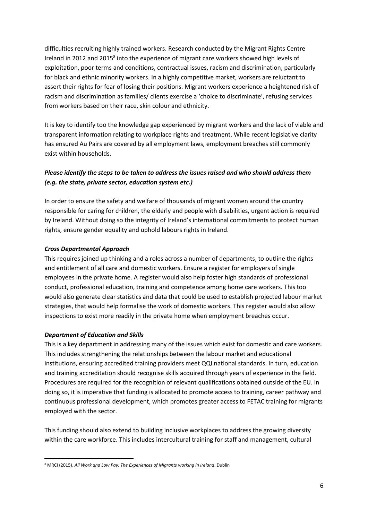difficulties recruiting highly trained workers. Research conducted by the Migrant Rights Centre Ireland in 2012 and 2015<sup>8</sup> into the experience of migrant care workers showed high levels of exploitation, poor terms and conditions, contractual issues, racism and discrimination, particularly for black and ethnic minority workers. In a highly competitive market, workers are reluctant to assert their rights for fear of losing their positions. Migrant workers experience a heightened risk of racism and discrimination as families/ clients exercise a 'choice to discriminate', refusing services from workers based on their race, skin colour and ethnicity.

It is key to identify too the knowledge gap experienced by migrant workers and the lack of viable and transparent information relating to workplace rights and treatment. While recent legislative clarity has ensured Au Pairs are covered by all employment laws, employment breaches still commonly exist within households.

# *Please identify the steps to be taken to address the issues raised and who should address them (e.g. the state, private sector, education system etc.)*

In order to ensure the safety and welfare of thousands of migrant women around the country responsible for caring for children, the elderly and people with disabilities, urgent action is required by Ireland. Without doing so the integrity of Ireland's international commitments to protect human rights, ensure gender equality and uphold labours rights in Ireland.

## *Cross Departmental Approach*

This requires joined up thinking and a roles across a number of departments, to outline the rights and entitlement of all care and domestic workers. Ensure a register for employers of single employees in the private home. A register would also help foster high standards of professional conduct, professional education, training and competence among home care workers. This too would also generate clear statistics and data that could be used to establish projected labour market strategies, that would help formalise the work of domestic workers. This register would also allow inspections to exist more readily in the private home when employment breaches occur.

## *Department of Education and Skills*

This is a key department in addressing many of the issues which exist for domestic and care workers. This includes strengthening the relationships between the labour market and educational institutions, ensuring accredited training providers meet QQI national standards. In turn, education and training accreditation should recognise skills acquired through years of experience in the field. Procedures are required for the recognition of relevant qualifications obtained outside of the EU. In doing so, it is imperative that funding is allocated to promote access to training, career pathway and continuous professional development, which promotes greater access to FETAC training for migrants employed with the sector.

This funding should also extend to building inclusive workplaces to address the growing diversity within the care workforce. This includes intercultural training for staff and management, cultural

**<sup>.</sup>** <sup>8</sup> MRCI (2015). *All Work and Low Pay: The Experiences of Migrants working in Ireland*. Dublin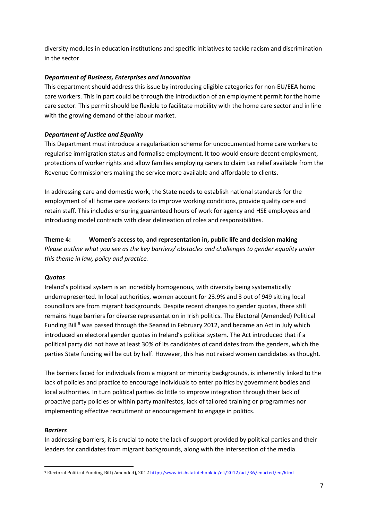diversity modules in education institutions and specific initiatives to tackle racism and discrimination in the sector.

#### *Department of Business, Enterprises and Innovation*

This department should address this issue by introducing eligible categories for non-EU/EEA home care workers. This in part could be through the introduction of an employment permit for the home care sector. This permit should be flexible to facilitate mobility with the home care sector and in line with the growing demand of the labour market.

## *Department of Justice and Equality*

This Department must introduce a regularisation scheme for undocumented home care workers to regularise immigration status and formalise employment. It too would ensure decent employment, protections of worker rights and allow families employing carers to claim tax relief available from the Revenue Commissioners making the service more available and affordable to clients.

In addressing care and domestic work, the State needs to establish national standards for the employment of all home care workers to improve working conditions, provide quality care and retain staff. This includes ensuring guaranteed hours of work for agency and HSE employees and introducing model contracts with clear delineation of roles and responsibilities.

**Theme 4: Women's access to, and representation in, public life and decision making** *Please outline what you see as the key barriers/ obstacles and challenges to gender equality under this theme in law, policy and practice.*

#### *Quotas*

Ireland's political system is an incredibly homogenous, with diversity being systematically underrepresented. In local authorities, women account for 23.9% and 3 out of 949 sitting local councillors are from migrant backgrounds. Despite recent changes to gender quotas, there still remains huge barriers for diverse representation in Irish politics. The Electoral (Amended) Political Funding Bill<sup>9</sup> was passed through the Seanad in February 2012, and became an Act in July which introduced an electoral gender quotas in Ireland's political system. The Act introduced that if a political party did not have at least 30% of its candidates of candidates from the genders, which the parties State funding will be cut by half. However, this has not raised women candidates as thought.

The barriers faced for individuals from a migrant or minority backgrounds, is inherently linked to the lack of policies and practice to encourage individuals to enter politics by government bodies and local authorities. In turn political parties do little to improve integration through their lack of proactive party policies or within party manifestos, lack of tailored training or programmes nor implementing effective recruitment or encouragement to engage in politics.

#### *Barriers*

In addressing barriers, it is crucial to note the lack of support provided by political parties and their leaders for candidates from migrant backgrounds, along with the intersection of the media.

 $\overline{a}$ <sup>9</sup> Electoral Political Funding Bill (Amended), 201[2 http://www.irishstatutebook.ie/eli/2012/act/36/enacted/en/html](http://www.irishstatutebook.ie/eli/2012/act/36/enacted/en/html)